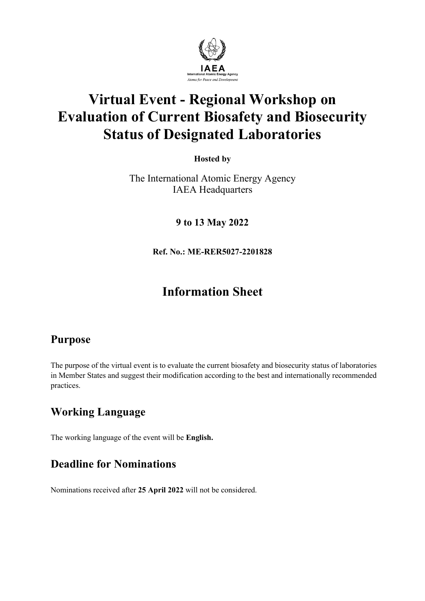

# **Virtual Event - Regional Workshop on Evaluation of Current Biosafety and Biosecurity Status of Designated Laboratories**

**Hosted by**

The International Atomic Energy Agency IAEA Headquarters

**9 to 13 May 2022** 

**Ref. No.: ME-RER5027-2201828**

## **Information Sheet**

## **Purpose**

The purpose of the virtual event is to evaluate the current biosafety and biosecurity status of laboratories in Member States and suggest their modification according to the best and internationally recommended practices.

## **Working Language**

The working language of the event will be **English.**

## **Deadline for Nominations**

Nominations received after **25 April 2022** will not be considered.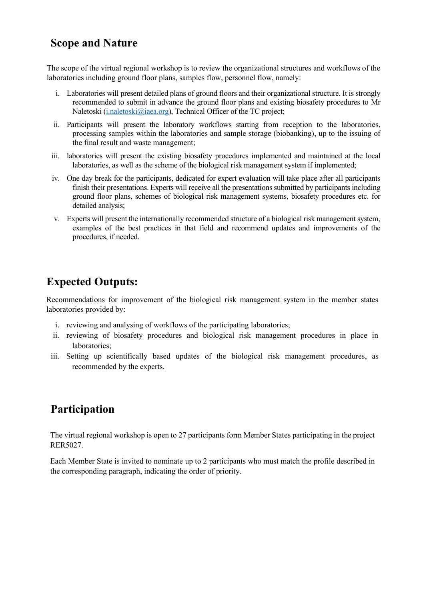#### **Scope and Nature**

The scope of the virtual regional workshop is to review the organizational structures and workflows of the laboratories including ground floor plans, samples flow, personnel flow, namely:

- i. Laboratories will present detailed plans of ground floors and their organizational structure. It is strongly recommended to submit in advance the ground floor plans and existing biosafety procedures to Mr Naletoski [\(i.naletoski@iaea.org\)](mailto:i.naletoski@iaea.org), Technical Officer of the TC project;
- ii. Participants will present the laboratory workflows starting from reception to the laboratories, processing samples within the laboratories and sample storage (biobanking), up to the issuing of the final result and waste management;
- iii. laboratories will present the existing biosafety procedures implemented and maintained at the local laboratories, as well as the scheme of the biological risk management system if implemented;
- iv. One day break for the participants, dedicated for expert evaluation will take place after all participants finish their presentations. Experts will receive all the presentations submitted by participants including ground floor plans, schemes of biological risk management systems, biosafety procedures etc. for detailed analysis;
- v. Experts will present the internationally recommended structure of a biological risk management system, examples of the best practices in that field and recommend updates and improvements of the procedures, if needed.

#### **Expected Outputs:**

Recommendations for improvement of the biological risk management system in the member states laboratories provided by:

- i. reviewing and analysing of workflows of the participating laboratories;
- ii. reviewing of biosafety procedures and biological risk management procedures in place in laboratories;
- iii. Setting up scientifically based updates of the biological risk management procedures, as recommended by the experts.

#### **Participation**

The virtual regional workshop is open to 27 participants form Member States participating in the project RER5027.

Each Member State is invited to nominate up to 2 participants who must match the profile described in the corresponding paragraph, indicating the order of priority.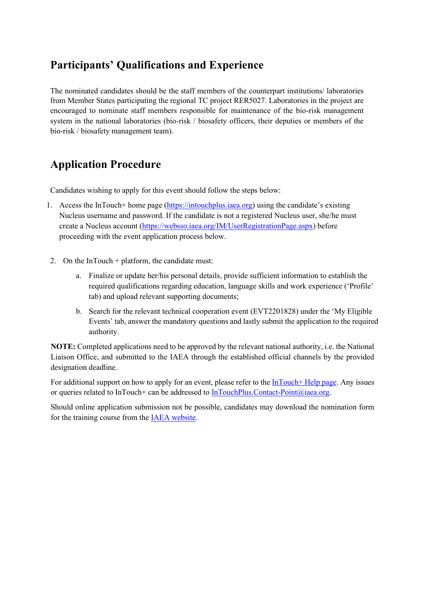## **Participants' Qualifications and Experience**

The nominated candidates should be the staff members of the counterpart institutions/ laboratories from Member States participating the regional TC project RER5027. Laboratories in the project are encouraged to nominate staff members responsible for maintenance of the bio-risk management system in the national laboratories (bio-risk / biosafety officers, their deputies or members of the bio-risk / biosafety management team).

#### **Application Procedure**

Candidates wishing to apply for this event should follow the steps below:

- 1. Access the InTouch+ home page [\(https://intouchplus.iaea.org](https://intouchplus.iaea.org/)) using the candidate's existing Nucleus username and password. If the candidate is not a registered Nucleus user, she/he must create a Nucleus account [\(https://websso.iaea.org/IM/UserRegistrationPage.aspx\)](https://websso.iaea.org/IM/UserRegistrationPage.aspx) before proceeding with the event application process below.
- 2. On the InTouch + platform, the candidate must:
	- a. Finalize or update her/his personal details, provide sufficient information to establish the required qualifications regarding education, language skills and work experience ('Profile' tab) and upload relevant supporting documents;
	- b. Search for the relevant technical cooperation event (EVT2201828) under the 'My Eligible Events' tab, answer the mandatory questions and lastly submit the application to the required authority.

**NOTE:** Completed applications need to be approved by the relevant national authority, i.e. the National Liaison Office, and submitted to the IAEA through the established official channels by the provided designation deadline.

For additional support on how to apply for an event, please refer to the [InTouch+ Help page.](https://nucleus.iaea.org/sites/intouchplushelp) Any issues or queries related to InTouch+ can be addressed to [InTouchPlus.Contact-Point@iaea.org.](mailto:InTouchPlus.Contact-Point@iaea.org)

Should online application submission not be possible, candidates may download the nomination form for the training course from the [IAEA website.](https://www.iaea.org/services/technical-cooperation-programme/how-to-participate)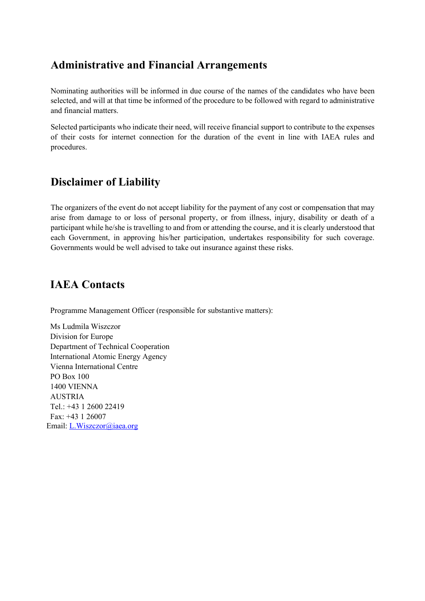#### **Administrative and Financial Arrangements**

Nominating authorities will be informed in due course of the names of the candidates who have been selected, and will at that time be informed of the procedure to be followed with regard to administrative and financial matters.

Selected participants who indicate their need, will receive financial support to contribute to the expenses of their costs for internet connection for the duration of the event in line with IAEA rules and procedures.

#### **Disclaimer of Liability**

The organizers of the event do not accept liability for the payment of any cost or compensation that may arise from damage to or loss of personal property, or from illness, injury, disability or death of a participant while he/she is travelling to and from or attending the course, and it is clearly understood that each Government, in approving his/her participation, undertakes responsibility for such coverage. Governments would be well advised to take out insurance against these risks.

#### **IAEA Contacts**

Programme Management Officer (responsible for substantive matters):

Ms Ludmila Wiszczor Division for Europe Department of Technical Cooperation International Atomic Energy Agency Vienna International Centre PO Box 100 1400 VIENNA AUSTRIA Tel.: +43 1 2600 22419 Fax: +43 1 26007 Email: L.Wiszczor@iaea.org